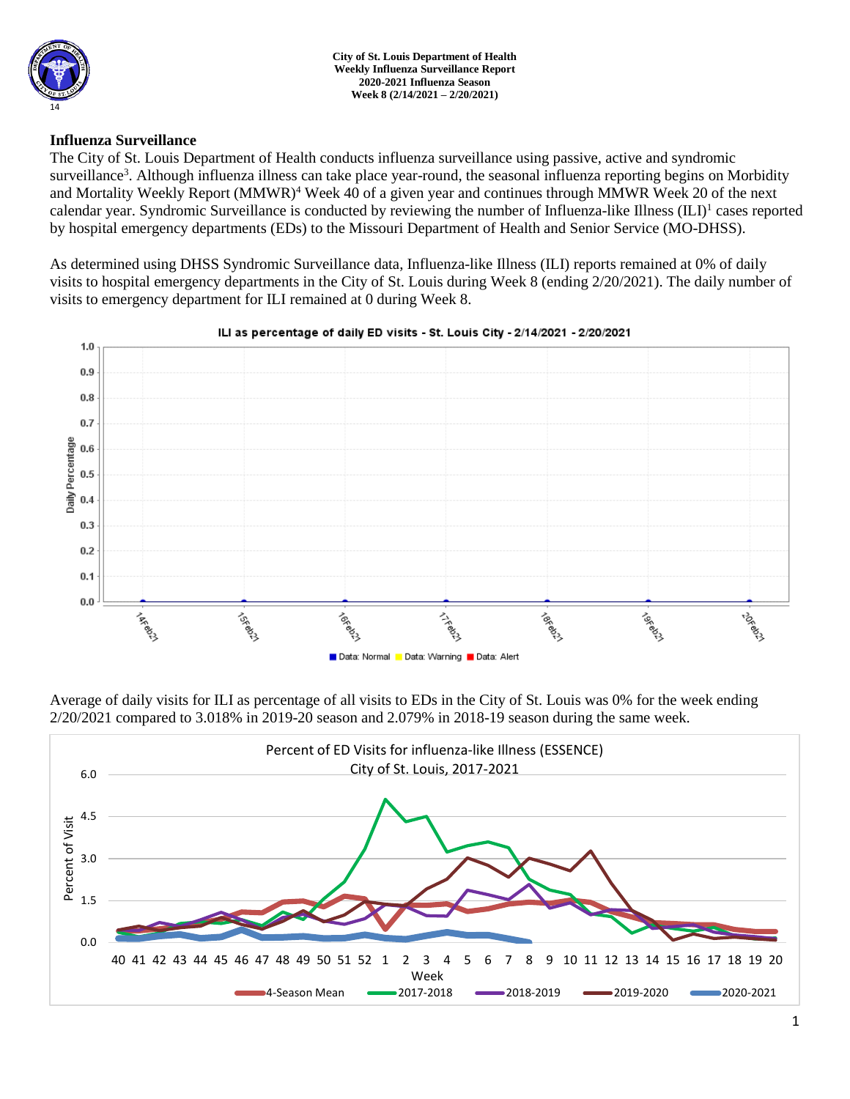

## **Influenza Surveillance**

The City of St. Louis Department of Health conducts influenza surveillance using passive, active and syndromic surveillance<sup>3</sup>. Although influenza illness can take place year-round, the seasonal influenza reporting begins on Morbidity and Mortality Weekly Report (MMWR)<sup>4</sup> Week 40 of a given year and continues through MMWR Week 20 of the next calendar year. Syndromic Surveillance is conducted by reviewing the number of Influenza-like Illness (ILI)<sup>1</sup> cases reported by hospital emergency departments (EDs) to the Missouri Department of Health and Senior Service (MO-DHSS).

As determined using DHSS Syndromic Surveillance data, Influenza-like Illness (ILI) reports remained at 0% of daily visits to hospital emergency departments in the City of St. Louis during Week 8 (ending 2/20/2021). The daily number of visits to emergency department for ILI remained at 0 during Week 8.



### ILI as percentage of daily ED visits - St. Louis City - 2/14/2021 - 2/20/2021

Average of daily visits for ILI as percentage of all visits to EDs in the City of St. Louis was 0% for the week ending 2/20/2021 compared to 3.018% in 2019-20 season and 2.079% in 2018-19 season during the same week.

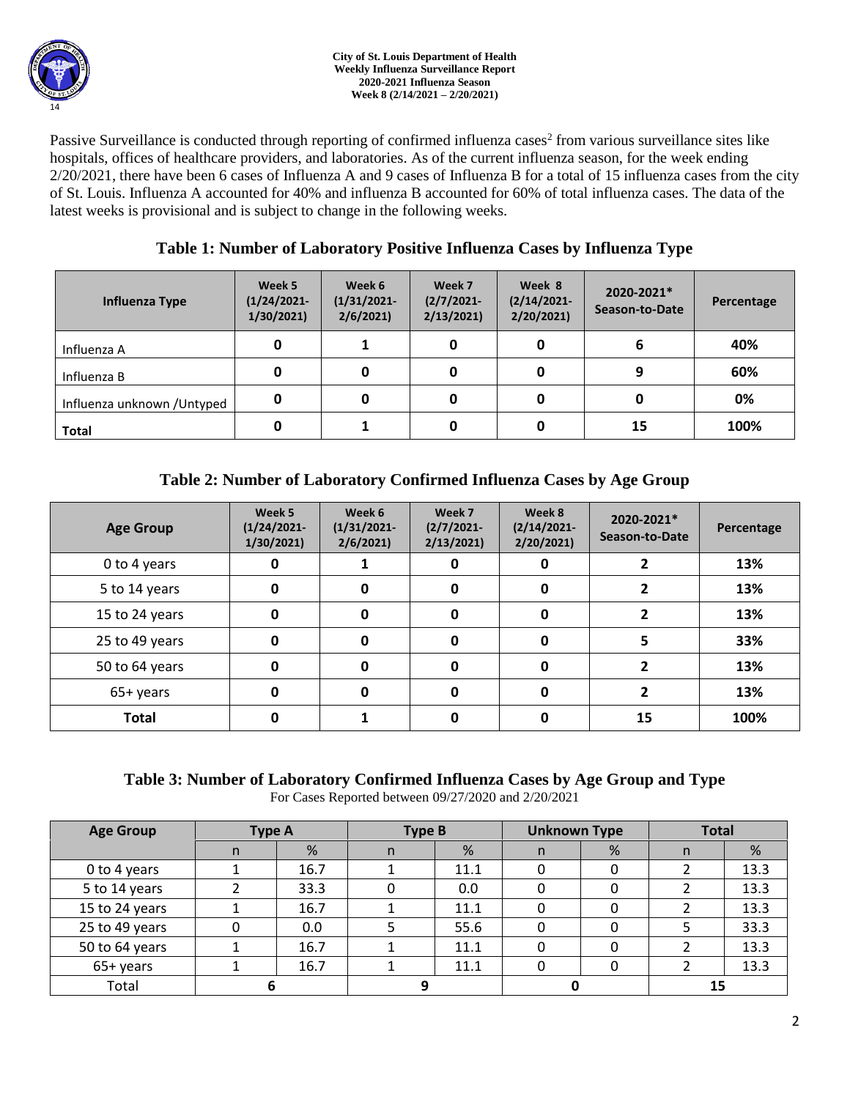

Passive Surveillance is conducted through reporting of confirmed influenza cases<sup>2</sup> from various surveillance sites like hospitals, offices of healthcare providers, and laboratories. As of the current influenza season, for the week ending 2/20/2021, there have been 6 cases of Influenza A and 9 cases of Influenza B for a total of 15 influenza cases from the city of St. Louis. Influenza A accounted for 40% and influenza B accounted for 60% of total influenza cases. The data of the latest weeks is provisional and is subject to change in the following weeks.

# **Table 1: Number of Laboratory Positive Influenza Cases by Influenza Type**

| Influenza Type              | Week 5<br>$(1/24/2021 -$<br>1/30/2021 | Week 6<br>$(1/31/2021 -$<br>2/6/2021 | Week 7<br>$(2/7/2021 -$<br>2/13/2021 | Week 8<br>$(2/14/2021 -$<br>2/20/2021 | 2020-2021*<br>Season-to-Date | Percentage |
|-----------------------------|---------------------------------------|--------------------------------------|--------------------------------------|---------------------------------------|------------------------------|------------|
| Influenza A                 | 0                                     |                                      | 0                                    | 0                                     | 6                            | 40%        |
| Influenza B                 | 0                                     |                                      | 0                                    | 0                                     | 9                            | 60%        |
| Influenza unknown / Untyped | 0                                     |                                      | 0                                    | 0                                     |                              | 0%         |
| Total                       | 0                                     |                                      | υ                                    |                                       | 15                           | 100%       |

# **Table 2: Number of Laboratory Confirmed Influenza Cases by Age Group**

| <b>Age Group</b> | Week 5<br>$(1/24/2021 -$<br>1/30/2021 | Week 6<br>$(1/31/2021 -$<br>2/6/2021 | Week 7<br>$(2/7/2021 -$<br>2/13/2021 | Week 8<br>$(2/14/2021 -$<br>2/20/2021 | 2020-2021*<br>Season-to-Date | Percentage |
|------------------|---------------------------------------|--------------------------------------|--------------------------------------|---------------------------------------|------------------------------|------------|
| 0 to 4 years     | 0                                     |                                      | 0                                    | 0                                     |                              | 13%        |
| 5 to 14 years    | 0                                     | 0                                    | 0                                    | 0                                     |                              | 13%        |
| 15 to 24 years   | 0                                     | 0                                    | 0                                    | 0                                     |                              | 13%        |
| 25 to 49 years   | 0                                     | 0                                    | 0                                    | 0                                     |                              | 33%        |
| 50 to 64 years   | 0                                     | O                                    | 0                                    | 0                                     |                              | 13%        |
| 65+ years        | 0                                     |                                      | 0                                    | 0                                     |                              | 13%        |
| <b>Total</b>     | 0                                     |                                      | 0                                    |                                       | 15                           | 100%       |

# **Table 3: Number of Laboratory Confirmed Influenza Cases by Age Group and Type**

For Cases Reported between 09/27/2020 and 2/20/2021

| <b>Age Group</b> | <b>Type A</b> |      | <b>Type B</b> |      | <b>Unknown Type</b> |   | <b>Total</b> |      |
|------------------|---------------|------|---------------|------|---------------------|---|--------------|------|
|                  | n             | %    | n             | %    | n                   | % | n            | %    |
| 0 to 4 years     |               | 16.7 |               | 11.1 |                     |   |              | 13.3 |
| 5 to 14 years    |               | 33.3 |               | 0.0  |                     |   |              | 13.3 |
| 15 to 24 years   |               | 16.7 |               | 11.1 |                     |   |              | 13.3 |
| 25 to 49 years   |               | 0.0  |               | 55.6 |                     |   |              | 33.3 |
| 50 to 64 years   |               | 16.7 |               | 11.1 |                     |   |              | 13.3 |
| 65+ years        |               | 16.7 |               | 11.1 |                     |   |              | 13.3 |
| Total            |               |      |               |      |                     |   | 15           |      |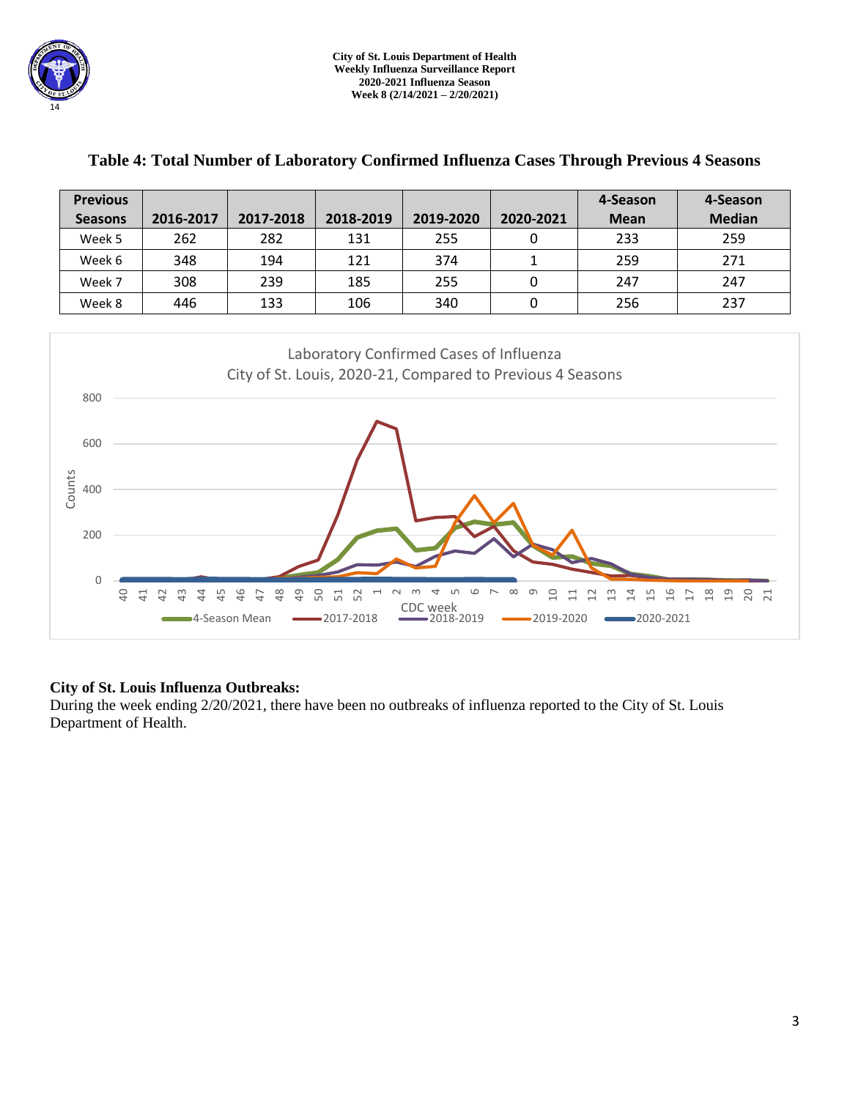| <b>Previous</b>                                                                                                                      |                                                                                |                                  |                                       |                            |                                  | 4-Season                                          | 4-Season                                    |  |  |
|--------------------------------------------------------------------------------------------------------------------------------------|--------------------------------------------------------------------------------|----------------------------------|---------------------------------------|----------------------------|----------------------------------|---------------------------------------------------|---------------------------------------------|--|--|
| <b>Seasons</b>                                                                                                                       | 2016-2017                                                                      | 2017-2018                        | 2018-2019                             | 2019-2020                  | 2020-2021                        | <b>Mean</b>                                       | <b>Median</b>                               |  |  |
| Week 5                                                                                                                               | 262                                                                            | 282                              | 131                                   | 255                        | $\mathbf 0$                      | 233                                               | 259                                         |  |  |
| Week 6                                                                                                                               | 348                                                                            | 194                              | 121                                   | 374                        | $\mathbf{1}$                     | 259                                               | 271                                         |  |  |
| Week 7                                                                                                                               | 308                                                                            | 239                              | 185                                   | 255                        | $\mathbf 0$                      | 247                                               | 247                                         |  |  |
| Week 8                                                                                                                               | 446                                                                            | 133                              | 106                                   | 340                        | $\boldsymbol{0}$                 | 256                                               | 237                                         |  |  |
| Laboratory Confirmed Cases of Influenza<br>City of St. Louis, 2020-21, Compared to Previous 4 Seasons<br>800<br>600<br>Counts<br>400 |                                                                                |                                  |                                       |                            |                                  |                                                   |                                             |  |  |
| 200<br>0<br>$\overline{a}$                                                                                                           | $\overline{4}$<br>$\overline{41}$<br>42<br>$\frac{3}{4}$<br>2<br>4-Season Mean | 46<br>48<br>49<br>$\overline{4}$ | 50<br>51<br>52<br>ſ<br>$-2017 - 2018$ | CDC week<br>$-2018 - 2019$ | ന<br>$\Xi$<br>$\Xi$<br>2019-2020 | $\frac{9}{1}$<br>2<br>≌<br>出<br>크<br>$-2020-2021$ | $\frac{8}{10}$<br>ఇ<br>20<br>$\overline{c}$ |  |  |

## **Table 4: Total Number of Laboratory Confirmed Influenza Cases Through Previous 4 Seasons**

## **City of St. Louis Influenza Outbreaks:**

During the week ending 2/20/2021, there have been no outbreaks of influenza reported to the City of St. Louis Department of Health.